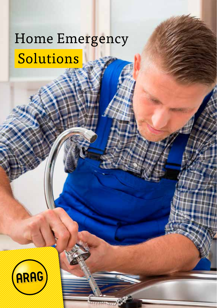# Home Emergency Solutions

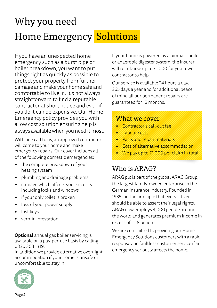## Why you need Home Emergency Solutions

If you have an unexpected home emergency such as a burst pipe or boiler breakdown, you want to put things right as quickly as possible to protect your property from further damage and make your home safe and comfortable to live in. It's not always straightforward to find a reputable contractor at short notice and even if you do it can be expensive. Our Home Emergency policy provides you with a low cost solution ensuring help is always available when you need it most.

With one call to us, an approved contractor will come to your home and make emergency repairs. Our cover includes all of the following domestic emergencies:

- the complete breakdown of your heating system
- plumbing and drainage problems
- damage which affects your security including locks and windows
- if your only toilet is broken
- loss of your power supply
- lost keys
- vermin infestation

Optional annual gas boiler servicing is available on a pay-per-use basis by calling 0330 303 1319.

In addition we provide alternative overnight accommodation if your home is unsafe or uncomfortable to stay in.



If your home is powered by a biomass boiler or anaerobic digester system, the insurer will reimburse up to £1,000 for your own contractor to help.

Our service is available 24 hours a day, 365 days a year and for additional peace of mind all our permanent repairs are guaranteed for 12 months.

### What we cover

- Contractor's call-out fee
- Labour costs
- Parts and repair materials
- Cost of alternative accommodation
- We pay up to £1,000 per claim in total

## Who is ARAG?

ARAG plc is part of the global ARAG Group, the largest family-owned enterprise in the German insurance industry. Founded in 1935, on the principle that every citizen should be able to assert their legal rights, ARAG now employs 4,000 people around the world and generates premium income in excess of €1.8 billion.

We are committed to providing our Home Emergency Solutions customers with a rapid response and faultless customer service if an emergency seriously affects the home.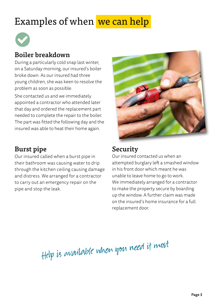## Examples of when we can help



### Boiler breakdown

During a particularly cold snap last winter, on a Saturday morning, our insured's boiler broke down. As our insured had three young children, she was keen to resolve the problem as soon as possible.

She contacted us and we immediately appointed a contractor who attended later that day and ordered the replacement part needed to complete the repair to the boiler. The part was fitted the following day and the insured was able to heat their home again.

## Burst pipe

Our insured called when a burst pipe in their bathroom was causing water to drip through the kitchen ceiling causing damage and distress. We arranged for a contractor to carry out an emergency repair on the pipe and stop the leak.



## Security

Our insured contacted us when an attempted burglary left a smashed window in his front door which meant he was unable to leave home to go to work. We immediately arranged for a contractor to make the property secure by boarding up the window. A further claim was made on the insured's home insurance for a full replacement door.

Help is available when you need it most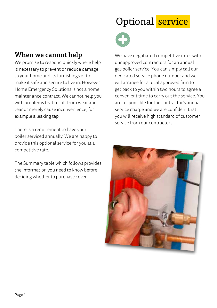### When we cannot help

We promise to respond quickly where help is necessary to prevent or reduce damage to your home and its furnishings or to make it safe and secure to live in. However, Home Emergency Solutions is not a home maintenance contract. We cannot help you with problems that result from wear and tear or merely cause inconvenience; for example a leaking tap.

There is a requirement to have your boiler serviced annually. We are happy to provide this optional service for you at a competitive rate.

The Summary table which follows provides the information you need to know before deciding whether to purchase cover.

## Optional service



We have negotiated competitive rates with our approved contractors for an annual gas boiler service. You can simply call our dedicated service phone number and we will arrange for a local approved firm to get back to you within two hours to agree a convenient time to carry out the service. You are responsible for the contractor's annual service charge and we are confident that you will receive high standard of customer service from our contractors.

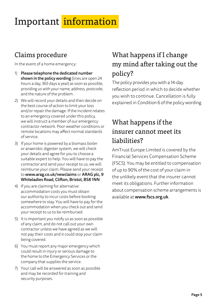## Important information

## Claims procedure

In the event of a home emergency:

- 1) Please telephone the dedicated number shown in the policy wording (lines are open 24 hours a day, 365 days a year) as soon as possible, providing us with your name, address, postcode, and the nature of the problem.
- 2) We will record your details and then decide on the best course of action to limit your loss and/or repair the damage. If the incident relates to an emergency covered under this policy, we will instruct a member of our emergency contractor network. Poor weather conditions or remote locations may affect normal standards of service.
- 3) If your home is powered by a biomass boiler or anaerobic digester system, we will check your details and agree for you to choose a suitable expert to help. You will have to pay the contractor and send your receipt to us, we will reimburse your claim. Please send your receipt to www.arag.co.uk/newclaims or ARAG plc, 9 Whiteladies Road, Clifton, Bristol, BS8 1NN.
- 4) If you are claiming for alternative accommodation costs you must obtain our authority to incur costs before booking somewhere to stay. You will have to pay for the accommodation when you check out and send your receipt to us to be reimbursed.
- 5) It is important you notify us as soon as possible of any claim, and do not call out your own contractor unless we have agreed as we will not pay their costs and it could stop your claim being covered.
- 6) You must report any major emergency which could result in injury or serious damage to the home to the Emergency Services or the company that supplies the service.
- 7) Your call will be answered as soon as possible and may be recorded for training and security purposes.

## What happens if I change my mind after taking out the policy?

The policy provides you with a 14-day reflection period in which to decide whether you wish to continue. Cancellation is fully explained in Condition 6 of the policy wording.

## What happens if the insurer cannot meet its liabilities?

AmTrust Europe Limited is covered by the Financial Services Compensation Scheme (FSCS). You may be entitled to compensation of up to 90% of the cost of your claim in the unlikely event that the insurer cannot meet its obligations. Further information about compensation scheme arrangements is available at www.fscs.org.uk.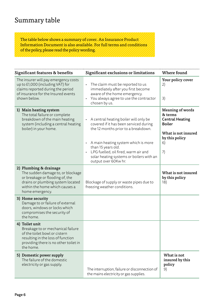### Summary table

The table below shows a summary of cover. An Insurance Product Information Document is also available. For full terms and conditions of the policy, please read the policy wording.

| Significant features & benefits                                                                                                                                                          | Significant exclusions or limitations                                                                                                                                                                                                                                                             | Where found                                                                                                          |
|------------------------------------------------------------------------------------------------------------------------------------------------------------------------------------------|---------------------------------------------------------------------------------------------------------------------------------------------------------------------------------------------------------------------------------------------------------------------------------------------------|----------------------------------------------------------------------------------------------------------------------|
| The insurer will pay emergency costs<br>up to £1,000 (including VAT) for<br>claims reported during the period<br>of insurance for the Insured events<br>shown below.                     | The claim must be reported to us<br>$\bullet$<br>immediately after you first become<br>aware of the home emergency.<br>You always agree to use the contractor<br>chosen by us.                                                                                                                    | Your policy cover<br>2)<br>3)                                                                                        |
| 1) Main heating system<br>The total failure or complete<br>breakdown of the main heating<br>system (including a central heating<br>boiler) in your home.                                 | A central heating boiler will only be<br>covered if it has been serviced during<br>the 12 months prior to a breakdown.<br>A main heating system which is more<br>than 15 years old.<br>· LPG fuelled, oil fired, warm air and<br>solar heating systems or boilers with an<br>output over 60Kw hr. | Meaning of words<br>& terms<br><b>Central Heating</b><br>Boiler<br>What is not insured<br>by this policy<br>6)<br>7) |
| 2) Plumbing & drainage<br>The sudden damage to, or blockage<br>or breakage or flooding of, the<br>drains or plumbing system located<br>within the home which causes a<br>home emergency. | Blockage of supply or waste pipes due to<br>freezing weather conditions.                                                                                                                                                                                                                          | What is not insured<br>by this policy<br>18)                                                                         |
| 3) Home security<br>Damage to or failure of external<br>doors, windows or locks which<br>compromises the security of<br>the home.                                                        |                                                                                                                                                                                                                                                                                                   |                                                                                                                      |
| 4) Toilet unit<br>Breakage to or mechanical failure<br>of the toilet bowl or cistern<br>resulting in the loss of function<br>providing there is no other toilet in<br>the home.          |                                                                                                                                                                                                                                                                                                   |                                                                                                                      |
| 5) Domestic power supply<br>The failure of the domestic<br>electricity or gas supply.                                                                                                    | The interruption, failure or disconnection of<br>the mains electricity or gas supplies.                                                                                                                                                                                                           | What is not<br>insured by this<br>policy<br>9)                                                                       |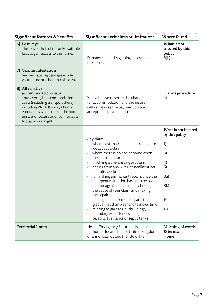| Significant features & benefits                                                                                                                                                                                                              | Significant exclusions or limitations                                                                                                                                                                                                                                                                                                                                                                                                                                                                                                                                                                                                                          | Where found                                                                                          |
|----------------------------------------------------------------------------------------------------------------------------------------------------------------------------------------------------------------------------------------------|----------------------------------------------------------------------------------------------------------------------------------------------------------------------------------------------------------------------------------------------------------------------------------------------------------------------------------------------------------------------------------------------------------------------------------------------------------------------------------------------------------------------------------------------------------------------------------------------------------------------------------------------------------------|------------------------------------------------------------------------------------------------------|
| 6) Lost keys<br>The loss or theft of the only available<br>keys to gain access to the home.                                                                                                                                                  | Damage caused by gaining access to<br>the home.                                                                                                                                                                                                                                                                                                                                                                                                                                                                                                                                                                                                                | What is not<br>insured by this<br>policy<br>8 <sub>b</sub>                                           |
| 7) Vermin infestation<br>Vermin causing damage inside<br>your home or a health risk to you.                                                                                                                                                  |                                                                                                                                                                                                                                                                                                                                                                                                                                                                                                                                                                                                                                                                |                                                                                                      |
| 8) Alternative<br>accommodation costs<br>Your overnight accommodation<br>costs (including transport there)<br>including VAT following a home<br>emergency which makes the home<br>unsafe, unsecure or uncomfortable<br>to stay in overnight. | You will have to settle the charges<br>for accommodation and the insurer<br>will reimburse the payment on our<br>acceptance of your claim.                                                                                                                                                                                                                                                                                                                                                                                                                                                                                                                     | Claims procedure<br>4)                                                                               |
|                                                                                                                                                                                                                                              | Any claim:<br>where costs have been incurred before<br>we accept a claim<br>where there is no one at home when<br>$\ddot{\phantom{0}}$<br>the contractor arrives<br>involving a pre-existing problem<br>arising from any wilful or negligent act<br>or faulty workmanship<br>for making permanent repairs once the<br>emergency situation has been resolved<br>for damage that is caused by finding<br>the cause of your claim and making<br>the repair<br>relating to replacement of parts that<br>gradually sustain wear and tear over time<br>relating to garages, outbuildings,<br>boundary walls, fences, hedges,<br>cesspits, fuel tanks or septic tanks | What is not insured<br>by this policy<br>1)<br>3)<br>4)<br>5)<br>8a)<br>8 <sub>b</sub><br>10)<br>11) |
| <b>Territorial limits</b>                                                                                                                                                                                                                    | Home Emergency Solutions is available<br>for homes located in the United Kingdom,<br>Channel Islands and the Isle of Man.                                                                                                                                                                                                                                                                                                                                                                                                                                                                                                                                      | Meaning of words<br>& terms:<br>Home                                                                 |